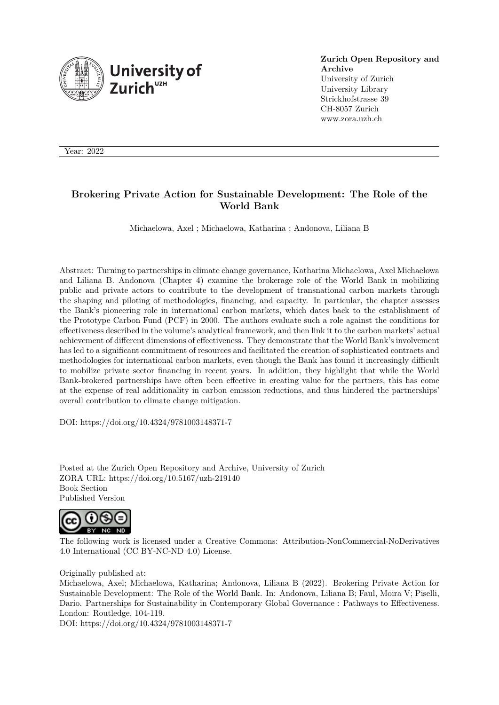

**Zurich Open Repository and Archive** University of Zurich University Library Strickhofstrasse 39 CH-8057 Zurich www.zora.uzh.ch

Year: 2022

# **Brokering Private Action for Sustainable Development: The Role of the World Bank**

Michaelowa, Axel ; Michaelowa, Katharina ; Andonova, Liliana B

Abstract: Turning to partnerships in climate change governance, Katharina Michaelowa, Axel Michaelowa and Liliana B. Andonova (Chapter 4) examine the brokerage role of the World Bank in mobilizing public and private actors to contribute to the development of transnational carbon markets through the shaping and piloting of methodologies, financing, and capacity. In particular, the chapter assesses the Bank's pioneering role in international carbon markets, which dates back to the establishment of the Prototype Carbon Fund (PCF) in 2000. The authors evaluate such a role against the conditions for effectiveness described in the volume's analytical framework, and then link it to the carbon markets' actual achievement of different dimensions of effectiveness. They demonstrate that the World Bank's involvement has led to a significant commitment of resources and facilitated the creation of sophisticated contracts and methodologies for international carbon markets, even though the Bank has found it increasingly difficult to mobilize private sector financing in recent years. In addition, they highlight that while the World Bank-brokered partnerships have often been effective in creating value for the partners, this has come at the expense of real additionality in carbon emission reductions, and thus hindered the partnerships' overall contribution to climate change mitigation.

DOI: https://doi.org/10.4324/9781003148371-7

Posted at the Zurich Open Repository and Archive, University of Zurich ZORA URL: https://doi.org/10.5167/uzh-219140 Book Section Published Version



The following work is licensed under a Creative Commons: Attribution-NonCommercial-NoDerivatives 4.0 International (CC BY-NC-ND 4.0) License.

# Originally published at:

Michaelowa, Axel; Michaelowa, Katharina; Andonova, Liliana B (2022). Brokering Private Action for Sustainable Development: The Role of the World Bank. In: Andonova, Liliana B; Faul, Moira V; Piselli, Dario. Partnerships for Sustainability in Contemporary Global Governance : Pathways to Effectiveness. London: Routledge, 104-119.

DOI: https://doi.org/10.4324/9781003148371-7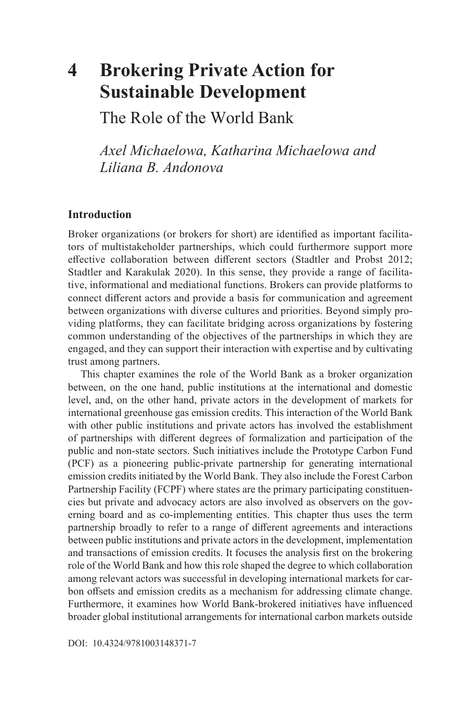# **4 Brokering Private Action for Sustainable Development**

The Role of the World Bank

*Axel Michaelowa, Katharina Michaelowa and Liliana B. Andonova* 

### **Introduction**

Broker organizations (or brokers for short) are identified as important facilitators of multistakeholder partnerships, which could furthermore support more effective collaboration between different sectors (Stadtler and Probst 2012; Stadtler and Karakulak 2020). In this sense, they provide a range of facilitative, informational and mediational functions. Brokers can provide platforms to connect different actors and provide a basis for communication and agreement between organizations with diverse cultures and priorities. Beyond simply providing platforms, they can facilitate bridging across organizations by fostering common understanding of the objectives of the partnerships in which they are engaged, and they can support their interaction with expertise and by cultivating trust among partners.

This chapter examines the role of the World Bank as a broker organization between, on the one hand, public institutions at the international and domestic level, and, on the other hand, private actors in the development of markets for international greenhouse gas emission credits. This interaction of the World Bank with other public institutions and private actors has involved the establishment of partnerships with different degrees of formalization and participation of the public and non-state sectors. Such initiatives include the Prototype Carbon Fund (PCF) as a pioneering public-private partnership for generating international emission credits initiated by the World Bank. They also include the Forest Carbon Partnership Facility (FCPF) where states are the primary participating constituencies but private and advocacy actors are also involved as observers on the governing board and as co-implementing entities. This chapter thus uses the term partnership broadly to refer to a range of different agreements and interactions between public institutions and private actors in the development, implementation and transactions of emission credits. It focuses the analysis first on the brokering role of the World Bank and how this role shaped the degree to which collaboration among relevant actors was successful in developing international markets for carbon offsets and emission credits as a mechanism for addressing climate change. Furthermore, it examines how World Bank-brokered initiatives have influenced broader global institutional arrangements for international carbon markets outside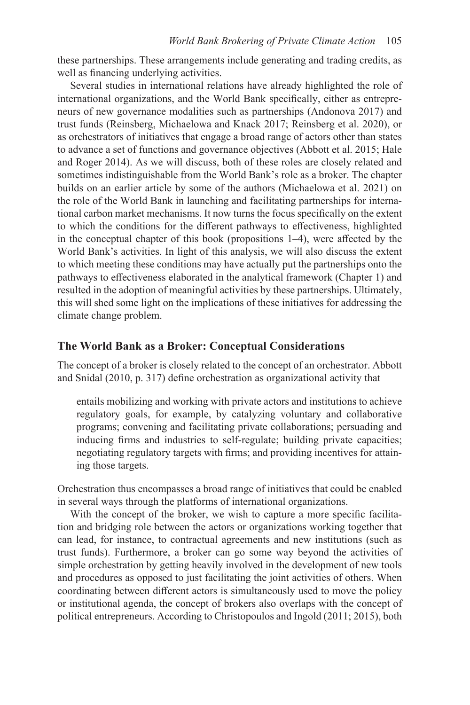these partnerships. These arrangements include generating and trading credits, as well as financing underlying activities.

Several studies in international relations have already highlighted the role of international organizations, and the World Bank specifically, either as entrepreneurs of new governance modalities such as partnerships (Andonova 2017) and trust funds (Reinsberg, Michaelowa and Knack 2017; Reinsberg et al. 2020), or as orchestrators of initiatives that engage a broad range of actors other than states to advance a set of functions and governance objectives (Abbott et al. 2015; Hale and Roger 2014). As we will discuss, both of these roles are closely related and sometimes indistinguishable from the World Bank's role as a broker. The chapter builds on an earlier article by some of the authors (Michaelowa et al. 2021) on the role of the World Bank in launching and facilitating partnerships for international carbon market mechanisms. It now turns the focus specifically on the extent to which the conditions for the different pathways to effectiveness, highlighted in the conceptual chapter of this book (propositions 1–4), were affected by the World Bank's activities. In light of this analysis, we will also discuss the extent to which meeting these conditions may have actually put the partnerships onto the pathways to effectiveness elaborated in the analytical framework (Chapter 1) and resulted in the adoption of meaningful activities by these partnerships. Ultimately, this will shed some light on the implications of these initiatives for addressing the climate change problem.

### **The World Bank as a Broker: Conceptual Considerations**

The concept of a broker is closely related to the concept of an orchestrator. Abbott and Snidal (2010, p. 317) define orchestration as organizational activity that

entails mobilizing and working with private actors and institutions to achieve regulatory goals, for example, by catalyzing voluntary and collaborative programs; convening and facilitating private collaborations; persuading and inducing firms and industries to self-regulate; building private capacities; negotiating regulatory targets with firms; and providing incentives for attaining those targets.

Orchestration thus encompasses a broad range of initiatives that could be enabled in several ways through the platforms of international organizations.

With the concept of the broker, we wish to capture a more specific facilitation and bridging role between the actors or organizations working together that can lead, for instance, to contractual agreements and new institutions (such as trust funds). Furthermore, a broker can go some way beyond the activities of simple orchestration by getting heavily involved in the development of new tools and procedures as opposed to just facilitating the joint activities of others. When coordinating between different actors is simultaneously used to move the policy or institutional agenda, the concept of brokers also overlaps with the concept of political entrepreneurs. According to Christopoulos and Ingold (2011; 2015), both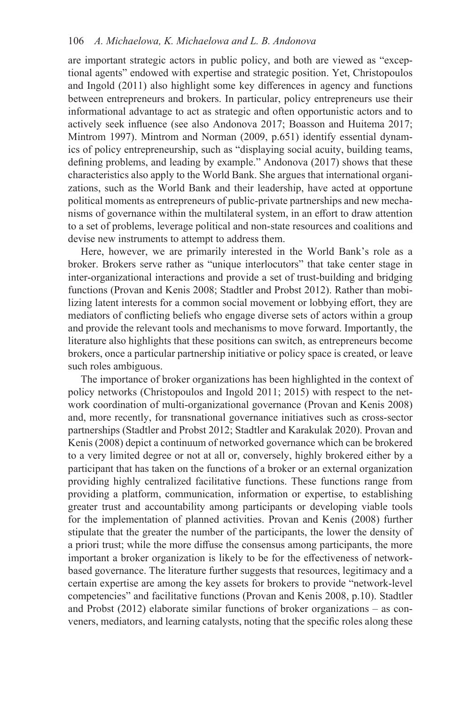are important strategic actors in public policy, and both are viewed as "exceptional agents" endowed with expertise and strategic position. Yet, Christopoulos and Ingold (2011) also highlight some key differences in agency and functions between entrepreneurs and brokers. In particular, policy entrepreneurs use their informational advantage to act as strategic and often opportunistic actors and to actively seek influence (see also Andonova 2017; Boasson and Huitema 2017; Mintrom 1997). Mintrom and Norman (2009, p.651) identify essential dynamics of policy entrepreneurship, such as "displaying social acuity, building teams, defining problems, and leading by example." Andonova (2017) shows that these characteristics also apply to the World Bank. She argues that international organizations, such as the World Bank and their leadership, have acted at opportune political moments as entrepreneurs of public-private partnerships and new mechanisms of governance within the multilateral system, in an effort to draw attention to a set of problems, leverage political and non-state resources and coalitions and devise new instruments to attempt to address them.

Here, however, we are primarily interested in the World Bank's role as a broker. Brokers serve rather as "unique interlocutors" that take center stage in inter-organizational interactions and provide a set of trust-building and bridging functions (Provan and Kenis 2008; Stadtler and Probst 2012). Rather than mobilizing latent interests for a common social movement or lobbying effort, they are mediators of conflicting beliefs who engage diverse sets of actors within a group and provide the relevant tools and mechanisms to move forward. Importantly, the literature also highlights that these positions can switch, as entrepreneurs become brokers, once a particular partnership initiative or policy space is created, or leave such roles ambiguous.

The importance of broker organizations has been highlighted in the context of policy networks (Christopoulos and Ingold 2011; 2015) with respect to the network coordination of multi-organizational governance (Provan and Kenis 2008) and, more recently, for transnational governance initiatives such as cross-sector partnerships (Stadtler and Probst 2012; Stadtler and Karakulak 2020). Provan and Kenis (2008) depict a continuum of networked governance which can be brokered to a very limited degree or not at all or, conversely, highly brokered either by a participant that has taken on the functions of a broker or an external organization providing highly centralized facilitative functions. These functions range from providing a platform, communication, information or expertise, to establishing greater trust and accountability among participants or developing viable tools for the implementation of planned activities. Provan and Kenis (2008) further stipulate that the greater the number of the participants, the lower the density of a priori trust; while the more diffuse the consensus among participants, the more important a broker organization is likely to be for the effectiveness of networkbased governance. The literature further suggests that resources, legitimacy and a certain expertise are among the key assets for brokers to provide "network-level competencies" and facilitative functions (Provan and Kenis 2008, p.10). Stadtler and Probst (2012) elaborate similar functions of broker organizations – as conveners, mediators, and learning catalysts, noting that the specific roles along these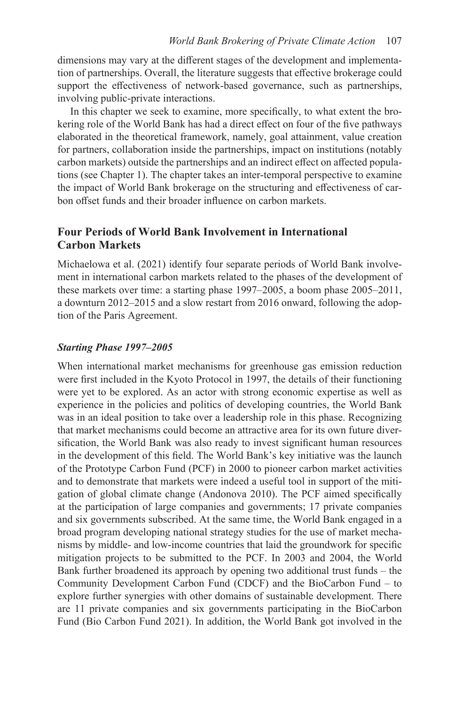dimensions may vary at the different stages of the development and implementation of partnerships. Overall, the literature suggests that effective brokerage could support the effectiveness of network-based governance, such as partnerships, involving public-private interactions.

In this chapter we seek to examine, more specifically, to what extent the brokering role of the World Bank has had a direct effect on four of the five pathways elaborated in the theoretical framework, namely, goal attainment, value creation for partners, collaboration inside the partnerships, impact on institutions (notably carbon markets) outside the partnerships and an indirect effect on affected populations (see Chapter 1). The chapter takes an inter-temporal perspective to examine the impact of World Bank brokerage on the structuring and effectiveness of carbon offset funds and their broader influence on carbon markets.

# **Four Periods of World Bank Involvement in International Carbon Markets**

Michaelowa et al. (2021) identify four separate periods of World Bank involvement in international carbon markets related to the phases of the development of these markets over time: a starting phase 1997–2005, a boom phase 2005–2011, a downturn 2012–2015 and a slow restart from 2016 onward, following the adoption of the Paris Agreement.

### *Starting Phase 1997–2005*

 gation of global climate change (Andonova 2010). The PCF aimed specifically When international market mechanisms for greenhouse gas emission reduction were first included in the Kyoto Protocol in 1997, the details of their functioning were yet to be explored. As an actor with strong economic expertise as well as experience in the policies and politics of developing countries, the World Bank was in an ideal position to take over a leadership role in this phase. Recognizing that market mechanisms could become an attractive area for its own future diversification, the World Bank was also ready to invest significant human resources in the development of this field. The World Bank's key initiative was the launch of the Prototype Carbon Fund (PCF) in 2000 to pioneer carbon market activities and to demonstrate that markets were indeed a useful tool in support of the mitiat the participation of large companies and governments; 17 private companies and six governments subscribed. At the same time, the World Bank engaged in a broad program developing national strategy studies for the use of market mechanisms by middle- and low-income countries that laid the groundwork for specific mitigation projects to be submitted to the PCF. In 2003 and 2004, the World Bank further broadened its approach by opening two additional trust funds – the Community Development Carbon Fund (CDCF) and the BioCarbon Fund – to explore further synergies with other domains of sustainable development. There are 11 private companies and six governments participating in the BioCarbon Fund (Bio Carbon Fund 2021). In addition, the World Bank got involved in the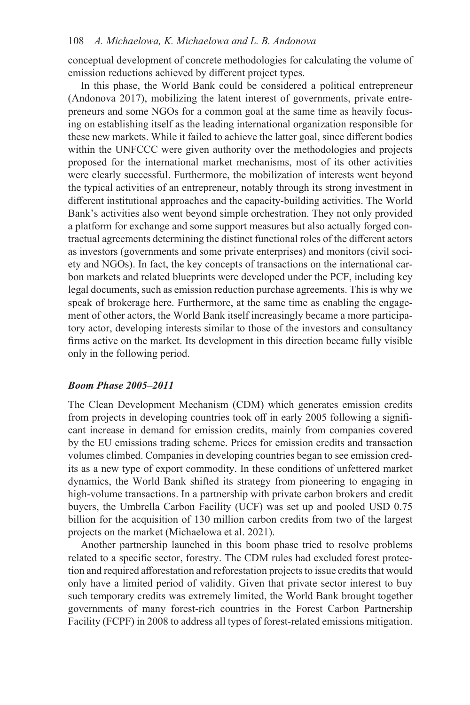### 108 *A. Michaelowa, K. Michaelowa and L. B. Andonova*

conceptual development of concrete methodologies for calculating the volume of emission reductions achieved by different project types.

In this phase, the World Bank could be considered a political entrepreneur (Andonova 2017), mobilizing the latent interest of governments, private entrepreneurs and some NGOs for a common goal at the same time as heavily focusing on establishing itself as the leading international organization responsible for these new markets. While it failed to achieve the latter goal, since different bodies within the UNFCCC were given authority over the methodologies and projects proposed for the international market mechanisms, most of its other activities were clearly successful. Furthermore, the mobilization of interests went beyond the typical activities of an entrepreneur, notably through its strong investment in different institutional approaches and the capacity-building activities. The World Bank's activities also went beyond simple orchestration. They not only provided a platform for exchange and some support measures but also actually forged contractual agreements determining the distinct functional roles of the different actors as investors (governments and some private enterprises) and monitors (civil society and NGOs). In fact, the key concepts of transactions on the international carbon markets and related blueprints were developed under the PCF, including key legal documents, such as emission reduction purchase agreements. This is why we speak of brokerage here. Furthermore, at the same time as enabling the engagement of other actors, the World Bank itself increasingly became a more participatory actor, developing interests similar to those of the investors and consultancy firms active on the market. Its development in this direction became fully visible only in the following period.

### *Boom Phase 2005–2011*

The Clean Development Mechanism (CDM) which generates emission credits from projects in developing countries took off in early 2005 following a significant increase in demand for emission credits, mainly from companies covered by the EU emissions trading scheme. Prices for emission credits and transaction volumes climbed. Companies in developing countries began to see emission credits as a new type of export commodity. In these conditions of unfettered market dynamics, the World Bank shifted its strategy from pioneering to engaging in high-volume transactions. In a partnership with private carbon brokers and credit buyers, the Umbrella Carbon Facility (UCF) was set up and pooled USD 0.75 billion for the acquisition of 130 million carbon credits from two of the largest projects on the market (Michaelowa et al. 2021).

Another partnership launched in this boom phase tried to resolve problems related to a specific sector, forestry. The CDM rules had excluded forest protection and required afforestation and reforestation projects to issue credits that would only have a limited period of validity. Given that private sector interest to buy such temporary credits was extremely limited, the World Bank brought together governments of many forest-rich countries in the Forest Carbon Partnership Facility (FCPF) in 2008 to address all types of forest-related emissions mitigation.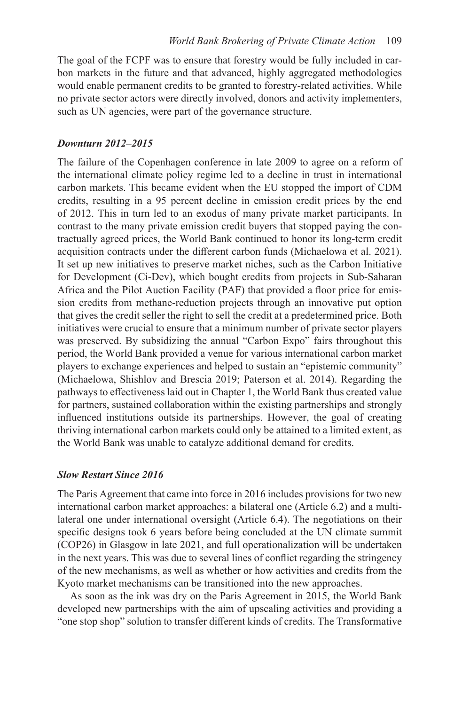The goal of the FCPF was to ensure that forestry would be fully included in carbon markets in the future and that advanced, highly aggregated methodologies would enable permanent credits to be granted to forestry-related activities. While no private sector actors were directly involved, donors and activity implementers, such as UN agencies, were part of the governance structure.

### *Downturn 2012–2015*

 sion credits from methane-reduction projects through an innovative put option The failure of the Copenhagen conference in late 2009 to agree on a reform of the international climate policy regime led to a decline in trust in international carbon markets. This became evident when the EU stopped the import of CDM credits, resulting in a 95 percent decline in emission credit prices by the end of 2012. This in turn led to an exodus of many private market participants. In contrast to the many private emission credit buyers that stopped paying the contractually agreed prices, the World Bank continued to honor its long-term credit acquisition contracts under the different carbon funds (Michaelowa et al. 2021). It set up new initiatives to preserve market niches, such as the Carbon Initiative for Development (Ci-Dev), which bought credits from projects in Sub-Saharan Africa and the Pilot Auction Facility (PAF) that provided a floor price for emisthat gives the credit seller the right to sell the credit at a predetermined price. Both initiatives were crucial to ensure that a minimum number of private sector players was preserved. By subsidizing the annual "Carbon Expo" fairs throughout this period, the World Bank provided a venue for various international carbon market players to exchange experiences and helped to sustain an "epistemic community" (Michaelowa, Shishlov and Brescia 2019; Paterson et al. 2014). Regarding the pathways to effectiveness laid out in Chapter 1, the World Bank thus created value for partners, sustained collaboration within the existing partnerships and strongly influenced institutions outside its partnerships. However, the goal of creating thriving international carbon markets could only be attained to a limited extent, as the World Bank was unable to catalyze additional demand for credits.

### *Slow Restart Since 2016*

The Paris Agreement that came into force in 2016 includes provisions for two new international carbon market approaches: a bilateral one (Article 6.2) and a multilateral one under international oversight (Article 6.4). The negotiations on their specific designs took 6 years before being concluded at the UN climate summit (COP26) in Glasgow in late 2021, and full operationalization will be undertaken in the next years. This was due to several lines of conflict regarding the stringency of the new mechanisms, as well as whether or how activities and credits from the Kyoto market mechanisms can be transitioned into the new approaches.

As soon as the ink was dry on the Paris Agreement in 2015, the World Bank developed new partnerships with the aim of upscaling activities and providing a "one stop shop" solution to transfer different kinds of credits. The Transformative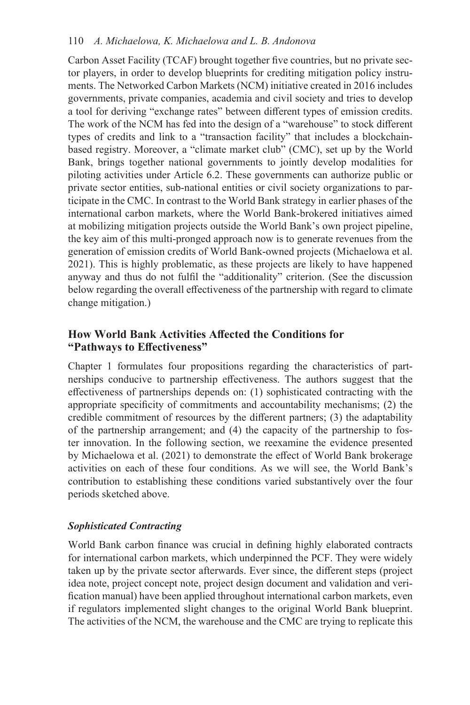Carbon Asset Facility (TCAF) brought together five countries, but no private sector players, in order to develop blueprints for crediting mitigation policy instruments. The Networked Carbon Markets (NCM) initiative created in 2016 includes governments, private companies, academia and civil society and tries to develop a tool for deriving "exchange rates" between different types of emission credits. The work of the NCM has fed into the design of a "warehouse" to stock different types of credits and link to a "transaction facility" that includes a blockchainbased registry. Moreover, a "climate market club" (CMC), set up by the World Bank, brings together national governments to jointly develop modalities for piloting activities under Article 6.2. These governments can authorize public or private sector entities, sub-national entities or civil society organizations to participate in the CMC. In contrast to the World Bank strategy in earlier phases of the international carbon markets, where the World Bank-brokered initiatives aimed at mobilizing mitigation projects outside the World Bank's own project pipeline, the key aim of this multi-pronged approach now is to generate revenues from the generation of emission credits of World Bank-owned projects (Michaelowa et al. 2021). This is highly problematic, as these projects are likely to have happened anyway and thus do not fulfil the "additionality" criterion. (See the discussion below regarding the overall effectiveness of the partnership with regard to climate change mitigation.)

# **How World Bank Activities Affected the Conditions for "Pathways to Effectiveness"**

Chapter 1 formulates four propositions regarding the characteristics of partnerships conducive to partnership effectiveness. The authors suggest that the effectiveness of partnerships depends on: (1) sophisticated contracting with the appropriate specificity of commitments and accountability mechanisms; (2) the credible commitment of resources by the different partners; (3) the adaptability of the partnership arrangement; and (4) the capacity of the partnership to foster innovation. In the following section, we reexamine the evidence presented by Michaelowa et al. (2021) to demonstrate the effect of World Bank brokerage activities on each of these four conditions. As we will see, the World Bank's contribution to establishing these conditions varied substantively over the four periods sketched above.

# *Sophisticated Contracting*

World Bank carbon finance was crucial in defining highly elaborated contracts for international carbon markets, which underpinned the PCF. They were widely taken up by the private sector afterwards. Ever since, the different steps (project idea note, project concept note, project design document and validation and verification manual) have been applied throughout international carbon markets, even if regulators implemented slight changes to the original World Bank blueprint. The activities of the NCM, the warehouse and the CMC are trying to replicate this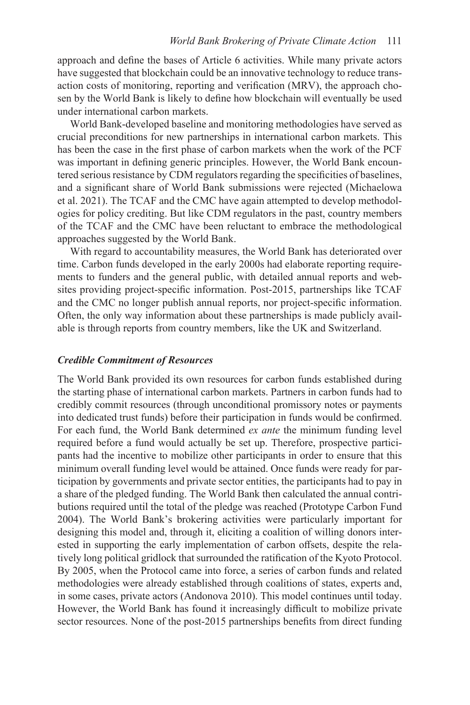approach and define the bases of Article 6 activities. While many private actors have suggested that blockchain could be an innovative technology to reduce transaction costs of monitoring, reporting and verification (MRV), the approach chosen by the World Bank is likely to define how blockchain will eventually be used under international carbon markets.

World Bank-developed baseline and monitoring methodologies have served as crucial preconditions for new partnerships in international carbon markets. This has been the case in the first phase of carbon markets when the work of the PCF was important in defining generic principles. However, the World Bank encountered serious resistance by CDM regulators regarding the specificities of baselines, and a significant share of World Bank submissions were rejected (Michaelowa et al. 2021). The TCAF and the CMC have again attempted to develop methodologies for policy crediting. But like CDM regulators in the past, country members of the TCAF and the CMC have been reluctant to embrace the methodological approaches suggested by the World Bank.

With regard to accountability measures, the World Bank has deteriorated over time. Carbon funds developed in the early 2000s had elaborate reporting requirements to funders and the general public, with detailed annual reports and websites providing project-specific information. Post-2015, partnerships like TCAF and the CMC no longer publish annual reports, nor project-specific information. Often, the only way information about these partnerships is made publicly available is through reports from country members, like the UK and Switzerland.

### *Credible Commitment of Resources*

 For each fund, the World Bank determined *ex ante* the minimum funding level The World Bank provided its own resources for carbon funds established during the starting phase of international carbon markets. Partners in carbon funds had to credibly commit resources (through unconditional promissory notes or payments into dedicated trust funds) before their participation in funds would be confirmed. required before a fund would actually be set up. Therefore, prospective participants had the incentive to mobilize other participants in order to ensure that this minimum overall funding level would be attained. Once funds were ready for participation by governments and private sector entities, the participants had to pay in a share of the pledged funding. The World Bank then calculated the annual contributions required until the total of the pledge was reached (Prototype Carbon Fund 2004). The World Bank's brokering activities were particularly important for designing this model and, through it, eliciting a coalition of willing donors interested in supporting the early implementation of carbon offsets, despite the relatively long political gridlock that surrounded the ratification of the Kyoto Protocol. By 2005, when the Protocol came into force, a series of carbon funds and related methodologies were already established through coalitions of states, experts and, in some cases, private actors (Andonova 2010). This model continues until today. However, the World Bank has found it increasingly difficult to mobilize private sector resources. None of the post-2015 partnerships benefits from direct funding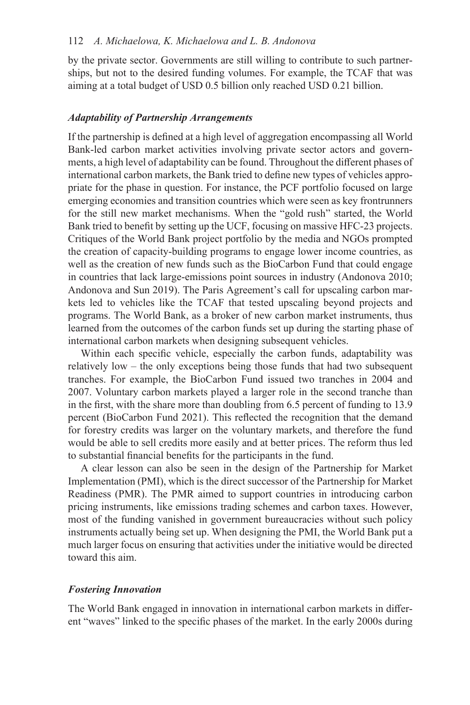### 112 *A. Michaelowa, K. Michaelowa and L. B. Andonova*

by the private sector. Governments are still willing to contribute to such partnerships, but not to the desired funding volumes. For example, the TCAF that was aiming at a total budget of USD 0.5 billion only reached USD 0.21 billion.

#### *Adaptability of Partnership Arrangements*

If the partnership is defined at a high level of aggregation encompassing all World Bank-led carbon market activities involving private sector actors and governments, a high level of adaptability can be found. Throughout the different phases of international carbon markets, the Bank tried to define new types of vehicles appropriate for the phase in question. For instance, the PCF portfolio focused on large emerging economies and transition countries which were seen as key frontrunners for the still new market mechanisms. When the "gold rush" started, the World Bank tried to benefit by setting up the UCF, focusing on massive HFC-23 projects. Critiques of the World Bank project portfolio by the media and NGOs prompted the creation of capacity-building programs to engage lower income countries, as well as the creation of new funds such as the BioCarbon Fund that could engage in countries that lack large-emissions point sources in industry (Andonova 2010; Andonova and Sun 2019). The Paris Agreement's call for upscaling carbon markets led to vehicles like the TCAF that tested upscaling beyond projects and programs. The World Bank, as a broker of new carbon market instruments, thus learned from the outcomes of the carbon funds set up during the starting phase of international carbon markets when designing subsequent vehicles.

Within each specific vehicle, especially the carbon funds, adaptability was relatively low – the only exceptions being those funds that had two subsequent tranches. For example, the BioCarbon Fund issued two tranches in 2004 and 2007. Voluntary carbon markets played a larger role in the second tranche than in the first, with the share more than doubling from 6.5 percent of funding to 13.9 percent (BioCarbon Fund 2021). This reflected the recognition that the demand for forestry credits was larger on the voluntary markets, and therefore the fund would be able to sell credits more easily and at better prices. The reform thus led to substantial financial benefits for the participants in the fund.

A clear lesson can also be seen in the design of the Partnership for Market Implementation (PMI), which is the direct successor of the Partnership for Market Readiness (PMR). The PMR aimed to support countries in introducing carbon pricing instruments, like emissions trading schemes and carbon taxes. However, most of the funding vanished in government bureaucracies without such policy instruments actually being set up. When designing the PMI, the World Bank put a much larger focus on ensuring that activities under the initiative would be directed toward this aim.

### *Fostering Innovation*

The World Bank engaged in innovation in international carbon markets in different "waves" linked to the specific phases of the market. In the early 2000s during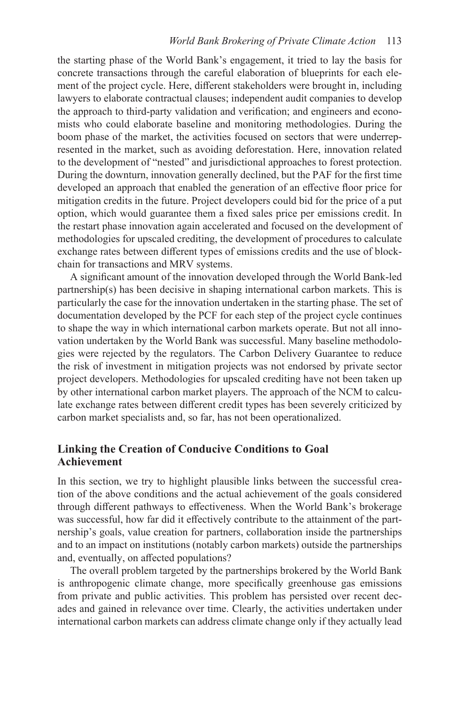the starting phase of the World Bank's engagement, it tried to lay the basis for concrete transactions through the careful elaboration of blueprints for each element of the project cycle. Here, different stakeholders were brought in, including lawyers to elaborate contractual clauses; independent audit companies to develop the approach to third-party validation and verification; and engineers and economists who could elaborate baseline and monitoring methodologies. During the boom phase of the market, the activities focused on sectors that were underrepresented in the market, such as avoiding deforestation. Here, innovation related to the development of "nested" and jurisdictional approaches to forest protection. During the downturn, innovation generally declined, but the PAF for the first time developed an approach that enabled the generation of an effective floor price for mitigation credits in the future. Project developers could bid for the price of a put option, which would guarantee them a fixed sales price per emissions credit. In the restart phase innovation again accelerated and focused on the development of methodologies for upscaled crediting, the development of procedures to calculate exchange rates between different types of emissions credits and the use of blockchain for transactions and MRV systems.

A significant amount of the innovation developed through the World Bank-led partnership(s) has been decisive in shaping international carbon markets. This is particularly the case for the innovation undertaken in the starting phase. The set of documentation developed by the PCF for each step of the project cycle continues to shape the way in which international carbon markets operate. But not all innovation undertaken by the World Bank was successful. Many baseline methodologies were rejected by the regulators. The Carbon Delivery Guarantee to reduce the risk of investment in mitigation projects was not endorsed by private sector project developers. Methodologies for upscaled crediting have not been taken up by other international carbon market players. The approach of the NCM to calculate exchange rates between different credit types has been severely criticized by carbon market specialists and, so far, has not been operationalized.

# **Linking the Creation of Conducive Conditions to Goal Achievement**

In this section, we try to highlight plausible links between the successful creation of the above conditions and the actual achievement of the goals considered through different pathways to effectiveness. When the World Bank's brokerage was successful, how far did it effectively contribute to the attainment of the partnership's goals, value creation for partners, collaboration inside the partnerships and to an impact on institutions (notably carbon markets) outside the partnerships and, eventually, on affected populations?

The overall problem targeted by the partnerships brokered by the World Bank is anthropogenic climate change, more specifically greenhouse gas emissions from private and public activities. This problem has persisted over recent decades and gained in relevance over time. Clearly, the activities undertaken under international carbon markets can address climate change only if they actually lead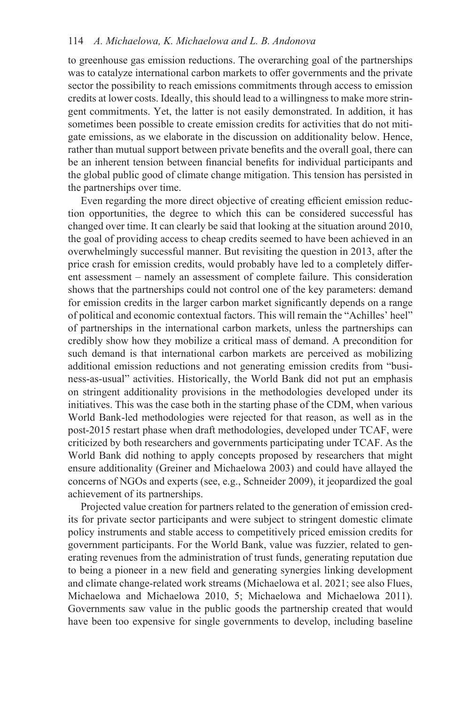to greenhouse gas emission reductions. The overarching goal of the partnerships was to catalyze international carbon markets to offer governments and the private sector the possibility to reach emissions commitments through access to emission credits at lower costs. Ideally, this should lead to a willingness to make more stringent commitments. Yet, the latter is not easily demonstrated. In addition, it has sometimes been possible to create emission credits for activities that do not mitigate emissions, as we elaborate in the discussion on additionality below. Hence, rather than mutual support between private benefits and the overall goal, there can be an inherent tension between financial benefits for individual participants and the global public good of climate change mitigation. This tension has persisted in the partnerships over time.

Even regarding the more direct objective of creating efficient emission reduction opportunities, the degree to which this can be considered successful has changed over time. It can clearly be said that looking at the situation around 2010, the goal of providing access to cheap credits seemed to have been achieved in an overwhelmingly successful manner. But revisiting the question in 2013, after the price crash for emission credits, would probably have led to a completely different assessment – namely an assessment of complete failure. This consideration shows that the partnerships could not control one of the key parameters: demand for emission credits in the larger carbon market significantly depends on a range of political and economic contextual factors. This will remain the "Achilles' heel" of partnerships in the international carbon markets, unless the partnerships can credibly show how they mobilize a critical mass of demand. A precondition for such demand is that international carbon markets are perceived as mobilizing additional emission reductions and not generating emission credits from "business-as-usual" activities. Historically, the World Bank did not put an emphasis on stringent additionality provisions in the methodologies developed under its initiatives. This was the case both in the starting phase of the CDM, when various World Bank-led methodologies were rejected for that reason, as well as in the post-2015 restart phase when draft methodologies, developed under TCAF, were criticized by both researchers and governments participating under TCAF. As the World Bank did nothing to apply concepts proposed by researchers that might ensure additionality (Greiner and Michaelowa 2003) and could have allayed the concerns of NGOs and experts (see, e.g., Schneider 2009), it jeopardized the goal achievement of its partnerships.

Projected value creation for partners related to the generation of emission credits for private sector participants and were subject to stringent domestic climate policy instruments and stable access to competitively priced emission credits for government participants. For the World Bank, value was fuzzier, related to generating revenues from the administration of trust funds, generating reputation due to being a pioneer in a new field and generating synergies linking development and climate change-related work streams (Michaelowa et al. 2021; see also Flues, Michaelowa and Michaelowa 2010, 5; Michaelowa and Michaelowa 2011). Governments saw value in the public goods the partnership created that would have been too expensive for single governments to develop, including baseline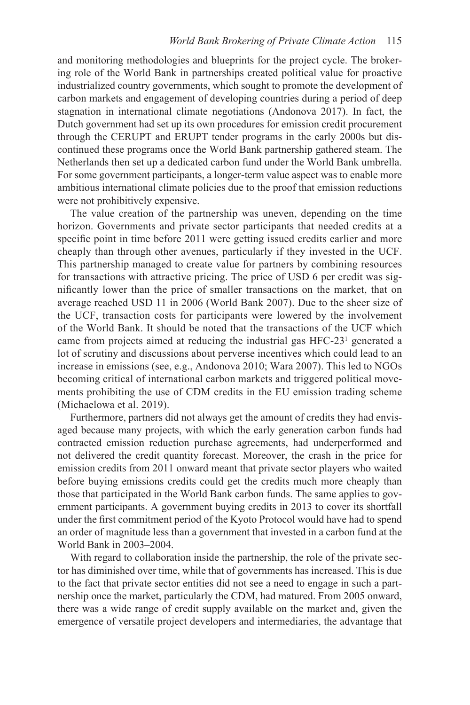and monitoring methodologies and blueprints for the project cycle. The brokering role of the World Bank in partnerships created political value for proactive industrialized country governments, which sought to promote the development of carbon markets and engagement of developing countries during a period of deep stagnation in international climate negotiations (Andonova 2017). In fact, the Dutch government had set up its own procedures for emission credit procurement through the CERUPT and ERUPT tender programs in the early 2000s but discontinued these programs once the World Bank partnership gathered steam. The Netherlands then set up a dedicated carbon fund under the World Bank umbrella. For some government participants, a longer-term value aspect was to enable more ambitious international climate policies due to the proof that emission reductions were not prohibitively expensive.

The value creation of the partnership was uneven, depending on the time horizon. Governments and private sector participants that needed credits at a specific point in time before 2011 were getting issued credits earlier and more cheaply than through other avenues, particularly if they invested in the UCF. This partnership managed to create value for partners by combining resources for transactions with attractive pricing. The price of USD 6 per credit was significantly lower than the price of smaller transactions on the market, that on average reached USD 11 in 2006 (World Bank 2007). Due to the sheer size of the UCF, transaction costs for participants were lowered by the involvement of the World Bank. It should be noted that the transactions of the UCF which came from projects aimed at reducing the industrial gas HFC-23<sup>1</sup> generated a lot of scrutiny and discussions about perverse incentives which could lead to an increase in emissions (see, e.g., Andonova 2010; Wara 2007). This led to NGOs becoming critical of international carbon markets and triggered political movements prohibiting the use of CDM credits in the EU emission trading scheme (Michaelowa et al. 2019).

Furthermore, partners did not always get the amount of credits they had envisaged because many projects, with which the early generation carbon funds had contracted emission reduction purchase agreements, had underperformed and not delivered the credit quantity forecast. Moreover, the crash in the price for emission credits from 2011 onward meant that private sector players who waited before buying emissions credits could get the credits much more cheaply than those that participated in the World Bank carbon funds. The same applies to government participants. A government buying credits in 2013 to cover its shortfall under the first commitment period of the Kyoto Protocol would have had to spend an order of magnitude less than a government that invested in a carbon fund at the World Bank in 2003–2004.

With regard to collaboration inside the partnership, the role of the private sector has diminished over time, while that of governments has increased. This is due to the fact that private sector entities did not see a need to engage in such a partnership once the market, particularly the CDM, had matured. From 2005 onward, there was a wide range of credit supply available on the market and, given the emergence of versatile project developers and intermediaries, the advantage that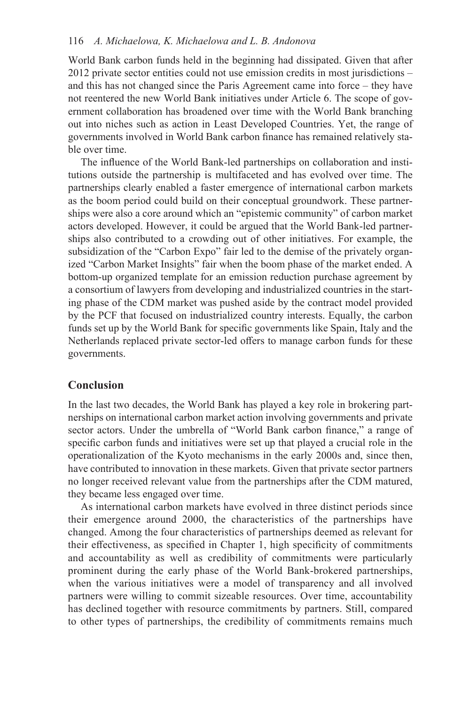### 116 *A. Michaelowa, K. Michaelowa and L. B. Andonova*

World Bank carbon funds held in the beginning had dissipated. Given that after 2012 private sector entities could not use emission credits in most jurisdictions – and this has not changed since the Paris Agreement came into force – they have not reentered the new World Bank initiatives under Article 6. The scope of government collaboration has broadened over time with the World Bank branching out into niches such as action in Least Developed Countries. Yet, the range of governments involved in World Bank carbon finance has remained relatively stable over time.

The influence of the World Bank-led partnerships on collaboration and institutions outside the partnership is multifaceted and has evolved over time. The partnerships clearly enabled a faster emergence of international carbon markets as the boom period could build on their conceptual groundwork. These partnerships were also a core around which an "epistemic community" of carbon market actors developed. However, it could be argued that the World Bank-led partnerships also contributed to a crowding out of other initiatives. For example, the subsidization of the "Carbon Expo" fair led to the demise of the privately organized "Carbon Market Insights" fair when the boom phase of the market ended. A bottom-up organized template for an emission reduction purchase agreement by a consortium of lawyers from developing and industrialized countries in the starting phase of the CDM market was pushed aside by the contract model provided by the PCF that focused on industrialized country interests. Equally, the carbon funds set up by the World Bank for specific governments like Spain, Italy and the Netherlands replaced private sector-led offers to manage carbon funds for these governments.

## **Conclusion**

In the last two decades, the World Bank has played a key role in brokering partnerships on international carbon market action involving governments and private sector actors. Under the umbrella of "World Bank carbon finance," a range of specific carbon funds and initiatives were set up that played a crucial role in the operationalization of the Kyoto mechanisms in the early 2000s and, since then, have contributed to innovation in these markets. Given that private sector partners no longer received relevant value from the partnerships after the CDM matured, they became less engaged over time.

As international carbon markets have evolved in three distinct periods since their emergence around 2000, the characteristics of the partnerships have changed. Among the four characteristics of partnerships deemed as relevant for their effectiveness, as specified in Chapter 1, high specificity of commitments and accountability as well as credibility of commitments were particularly prominent during the early phase of the World Bank-brokered partnerships, when the various initiatives were a model of transparency and all involved partners were willing to commit sizeable resources. Over time, accountability has declined together with resource commitments by partners. Still, compared to other types of partnerships, the credibility of commitments remains much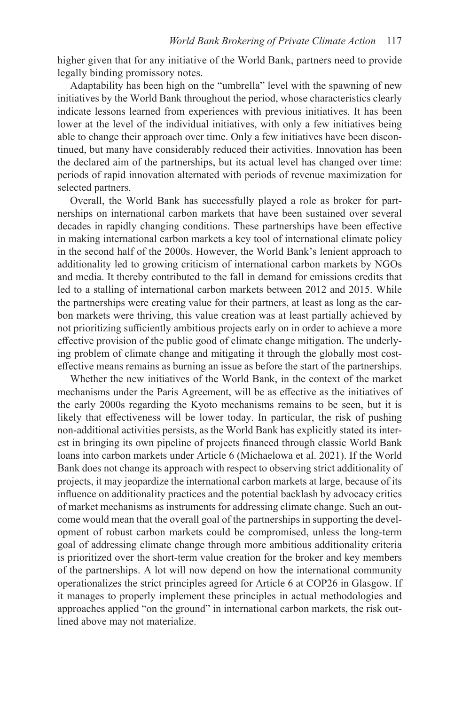higher given that for any initiative of the World Bank, partners need to provide legally binding promissory notes.

Adaptability has been high on the "umbrella" level with the spawning of new initiatives by the World Bank throughout the period, whose characteristics clearly indicate lessons learned from experiences with previous initiatives. It has been lower at the level of the individual initiatives, with only a few initiatives being able to change their approach over time. Only a few initiatives have been discontinued, but many have considerably reduced their activities. Innovation has been the declared aim of the partnerships, but its actual level has changed over time: periods of rapid innovation alternated with periods of revenue maximization for selected partners.

Overall, the World Bank has successfully played a role as broker for partnerships on international carbon markets that have been sustained over several decades in rapidly changing conditions. These partnerships have been effective in making international carbon markets a key tool of international climate policy in the second half of the 2000s. However, the World Bank's lenient approach to additionality led to growing criticism of international carbon markets by NGOs and media. It thereby contributed to the fall in demand for emissions credits that led to a stalling of international carbon markets between 2012 and 2015. While the partnerships were creating value for their partners, at least as long as the carbon markets were thriving, this value creation was at least partially achieved by not prioritizing sufficiently ambitious projects early on in order to achieve a more effective provision of the public good of climate change mitigation. The underlying problem of climate change and mitigating it through the globally most costeffective means remains as burning an issue as before the start of the partnerships.

Whether the new initiatives of the World Bank, in the context of the market mechanisms under the Paris Agreement, will be as effective as the initiatives of the early 2000s regarding the Kyoto mechanisms remains to be seen, but it is likely that effectiveness will be lower today. In particular, the risk of pushing non-additional activities persists, as the World Bank has explicitly stated its interest in bringing its own pipeline of projects financed through classic World Bank loans into carbon markets under Article 6 (Michaelowa et al. 2021). If the World Bank does not change its approach with respect to observing strict additionality of projects, it may jeopardize the international carbon markets at large, because of its influence on additionality practices and the potential backlash by advocacy critics of market mechanisms as instruments for addressing climate change. Such an outcome would mean that the overall goal of the partnerships in supporting the development of robust carbon markets could be compromised, unless the long-term goal of addressing climate change through more ambitious additionality criteria is prioritized over the short-term value creation for the broker and key members of the partnerships. A lot will now depend on how the international community operationalizes the strict principles agreed for Article 6 at COP26 in Glasgow. If it manages to properly implement these principles in actual methodologies and approaches applied "on the ground" in international carbon markets, the risk outlined above may not materialize.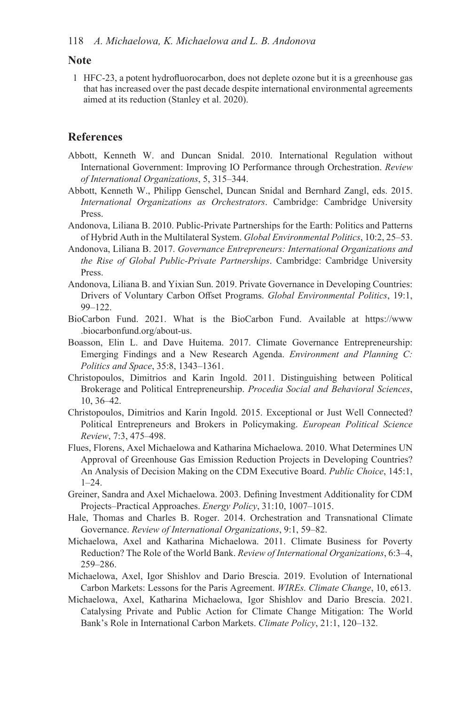### **Note**

1 HFC-23, a potent hydrofluorocarbon, does not deplete ozone but it is a greenhouse gas that has increased over the past decade despite international environmental agreements aimed at its reduction (Stanley et al. 2020).

# **References**

- Abbott, Kenneth W. and Duncan Snidal. 2010. International Regulation without International Government: Improving IO Performance through Orchestration. *Review of International Organizations*, 5, 315–344.
- Abbott, Kenneth W., Philipp Genschel, Duncan Snidal and Bernhard Zangl, eds. 2015. *International Organizations as Orchestrators*. Cambridge: Cambridge University Press.
- Andonova, Liliana B. 2010. Public-Private Partnerships for the Earth: Politics and Patterns of Hybrid Auth in the Multilateral System. *Global Environmental Politics*, 10:2, 25–53.
- Andonova, Liliana B. 2017. *Governance Entrepreneurs: International Organizations and the Rise of Global Public-Private Partnerships*. Cambridge: Cambridge University Press.
- Andonova, Liliana B. and Yixian Sun. 2019. Private Governance in Developing Countries: Drivers of Voluntary Carbon Offset Programs. *Global Environmental Politics*, 19:1, 99–122.
- .biocarbonfund.org/about-us. BioCarbon Fund. 2021. What is the BioCarbon Fund. Available at https://www
- Boasson, Elin L. and Dave Huitema. 2017. Climate Governance Entrepreneurship: Emerging Findings and a New Research Agenda. *Environment and Planning C: Politics and Space*, 35:8, 1343–1361.
- Christopoulos, Dimitrios and Karin Ingold. 2011. Distinguishing between Political Brokerage and Political Entrepreneurship. *Procedia Social and Behavioral Sciences*, 10, 36–42.
- Christopoulos, Dimitrios and Karin Ingold. 2015. Exceptional or Just Well Connected? Political Entrepreneurs and Brokers in Policymaking. *European Political Science Review*, 7:3, 475–498.
- Flues, Florens, Axel Michaelowa and Katharina Michaelowa. 2010. What Determines UN Approval of Greenhouse Gas Emission Reduction Projects in Developing Countries? An Analysis of Decision Making on the CDM Executive Board. *Public Choice*, 145:1, 1–24.
- Greiner, Sandra and Axel Michaelowa. 2003. Defining Investment Additionality for CDM Projects–Practical Approaches. *Energy Policy*, 31:10, 1007–1015.
- Hale, Thomas and Charles B. Roger. 2014. Orchestration and Transnational Climate Governance. *Review of International Organizations*, 9:1, 59–82.
- Michaelowa, Axel and Katharina Michaelowa. 2011. Climate Business for Poverty Reduction? The Role of the World Bank. *Review of International Organizations*, 6:3–4, 259–286.
- Michaelowa, Axel, Igor Shishlov and Dario Brescia. 2019. Evolution of International Carbon Markets: Lessons for the Paris Agreement. *WIREs. Climate Change*, 10, e613.
- Michaelowa, Axel, Katharina Michaelowa, Igor Shishlov and Dario Brescia. 2021. Catalysing Private and Public Action for Climate Change Mitigation: The World Bank's Role in International Carbon Markets. *Climate Policy*, 21:1, 120–132.